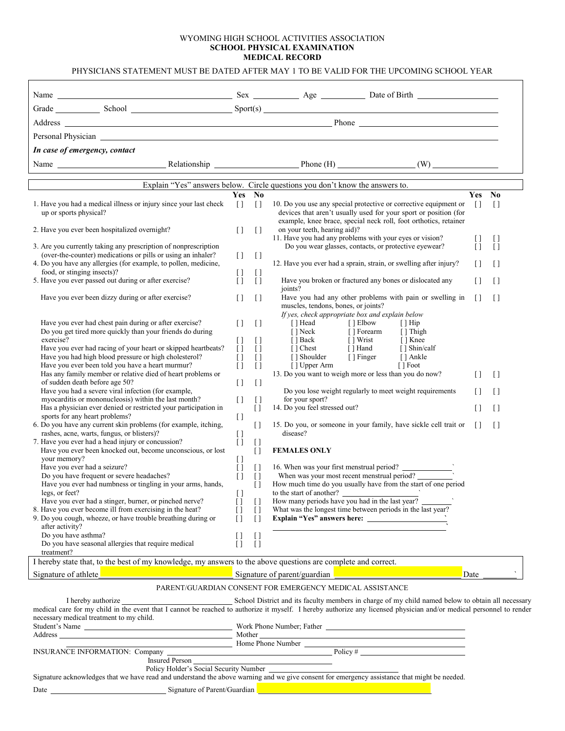## WYOMING HIGH SCHOOL ACTIVITIES ASSOCIATION **SCHOOL PHYSICAL EXAMINATION MEDICAL RECORD**

| Grade School School Sport(s) Sport(s)<br>Personal Physician Newsale and Security and Security and Security and Security and Security and Security and Security and Security and Security and Security and Security and Security and Security and Security and Security<br>In case of emergency, contact<br>Explain "Yes" answers below. Circle questions you don't know the answers to.<br>$\mathbf{N}\mathbf{0}$<br><b>Yes</b><br>1. Have you had a medical illness or injury since your last check<br>$[ \ ]$<br>$\Box$<br>10. Do you use any special protective or corrective equipment or<br>up or sports physical?<br>devices that aren't usually used for your sport or position (for<br>example, knee brace, special neck roll, foot orthotics, retainer<br>2. Have you ever been hospitalized overnight?<br>$[ \ ]$<br>$[ \ ]$<br>on your teeth, hearing aid)?<br>11. Have you had any problems with your eyes or vision?<br>Do you wear glasses, contacts, or protective eyewear?<br>3. Are you currently taking any prescription of nonprescription<br>(over-the-counter) medications or pills or using an inhaler?<br>$\begin{array}{c} \square \end{array}$<br>$\lceil$<br>4. Do you have any allergies (for example, to pollen, medicine,<br>12. Have you ever had a sprain, strain, or swelling after injury?<br>food, or stinging insects)?<br>IJ<br>$\begin{array}{c} \square \end{array}$<br>5. Have you ever passed out during or after exercise?<br>$\lceil$<br>$\lceil \rceil$<br>Have you broken or fractured any bones or dislocated any<br>joints?<br>Have you ever been dizzy during or after exercise?<br>$\Box$<br>Have you had any other problems with pain or swelling in<br>$\lceil \rceil$<br>muscles, tendons, bones, or joints?<br>If yes, check appropriate box and explain below<br>Have you ever had chest pain during or after exercise?<br>$\lceil \rceil$<br>$\begin{array}{c} \square \end{array}$<br>[] Head [] Elbow<br>$\lceil$ Hip<br>Do you get tired more quickly than your friends do during<br>[] Forearm [] Thigh<br>[ ] Neck<br>[ ] Back<br>$[ \ ]$<br>[] Wrist [] Knee<br>exercise?<br>$[ \ ]$<br>[] Chest [] Hand [] Shin/calf<br>[] Shoulder [] Hand [] Shin/calf<br>[] Shoulder [] Finger [] Ankle<br>Have you ever had racing of your heart or skipped heartbeats?<br>$[ \ ]$<br>$\lceil$<br>Have you had high blood pressure or high cholesterol?<br>$[ \ ]$<br>$[ \ ]$<br>Have you ever been told you have a heart murmur?<br>$\left[\right]$<br>$\lceil$<br>13. Do you want to weigh more or less than you do now?<br>Has any family member or relative died of heart problems or<br>of sudden death before age 50?<br>$[ \ ]$<br>$\begin{array}{c} \square \end{array}$<br>Have you had a severe viral infection (for example,<br>Do you lose weight regularly to meet weight requirements<br>for your sport?<br>myocarditis or mononucleosis) within the last month?<br>$[ \ ]$<br>$\Box$<br>14. Do you feel stressed out?<br>Has a physician ever denied or restricted your participation in<br>$[ \ ]$<br>$[ \ ]$<br>sports for any heart problems?<br>6. Do you have any current skin problems (for example, itching,<br>15. Do you, or someone in your family, have sickle cell trait or<br>$\lceil$<br>rashes, acne, warts, fungus, or blisters)?<br>disease?<br>$\begin{array}{c} \square \end{array}$<br>7. Have you ever had a head injury or concussion?<br>$[ \ ]$<br>$[ \ ]$<br>Have you ever been knocked out, become unconscious, or lost<br>$[ \ ]$<br><b>FEMALES ONLY</b><br>your memory?<br>$[ \ ]$<br>Have you ever had a seizure?<br>$[ \ ]$<br>$\begin{array}{c} \square \end{array}$<br>Do you have frequent or severe headaches?<br>When was your most recent menstrual period?<br>$[ ] [ ]$<br>Have you ever had numbness or tingling in your arms, hands,<br>How much time do you usually have from the start of one period<br>$\left[ \ \right]$<br>to the start of another?<br>How many periods have you had in the last year?<br>legs, or feet?<br>U<br>Have you ever had a stinger, burner, or pinched nerve?<br>$[ \ ]$<br>$\begin{array}{c} \square \end{array}$<br>8. Have you ever become ill from exercising in the heat?<br>What was the longest time between periods in the last year?<br>$[ \ ]$<br>$[ \ ]$<br>9. Do you cough, wheeze, or have trouble breathing during or<br>$\Box$<br>$\Box$<br>after activity?<br>Do you have asthma?<br>$[ \ ]$<br>$[ \ ]$<br>Do you have seasonal allergies that require medical<br>$\left[ \ \right]$<br>$[ \ ]$<br>treatment?<br>I hereby state that, to the best of my knowledge, my answers to the above questions are complete and correct. |                    |                                        |
|--------------------------------------------------------------------------------------------------------------------------------------------------------------------------------------------------------------------------------------------------------------------------------------------------------------------------------------------------------------------------------------------------------------------------------------------------------------------------------------------------------------------------------------------------------------------------------------------------------------------------------------------------------------------------------------------------------------------------------------------------------------------------------------------------------------------------------------------------------------------------------------------------------------------------------------------------------------------------------------------------------------------------------------------------------------------------------------------------------------------------------------------------------------------------------------------------------------------------------------------------------------------------------------------------------------------------------------------------------------------------------------------------------------------------------------------------------------------------------------------------------------------------------------------------------------------------------------------------------------------------------------------------------------------------------------------------------------------------------------------------------------------------------------------------------------------------------------------------------------------------------------------------------------------------------------------------------------------------------------------------------------------------------------------------------------------------------------------------------------------------------------------------------------------------------------------------------------------------------------------------------------------------------------------------------------------------------------------------------------------------------------------------------------------------------------------------------------------------------------------------------------------------------------------------------------------------------------------------------------------------------------------------------------------------------------------------------------------------------------------------------------------------------------------------------------------------------------------------------------------------------------------------------------------------------------------------------------------------------------------------------------------------------------------------------------------------------------------------------------------------------------------------------------------------------------------------------------------------------------------------------------------------------------------------------------------------------------------------------------------------------------------------------------------------------------------------------------------------------------------------------------------------------------------------------------------------------------------------------------------------------------------------------------------------------------------------------------------------------------------------------------------------------------------------------------------------------------------------------------------------------------------------------------------------------------------------------------------------------------------------------------------------------------------------------------------------------------------------------------------------------------------------------------------------------------------------------------------------------------------------------------------------------------------------------------------------------------------------------------------------------------------------------------------------------------------------------------------------------------------------------------------------------------------------------------------------------------------------------------------------------------------------------------------------------------|--------------------|----------------------------------------|
|                                                                                                                                                                                                                                                                                                                                                                                                                                                                                                                                                                                                                                                                                                                                                                                                                                                                                                                                                                                                                                                                                                                                                                                                                                                                                                                                                                                                                                                                                                                                                                                                                                                                                                                                                                                                                                                                                                                                                                                                                                                                                                                                                                                                                                                                                                                                                                                                                                                                                                                                                                                                                                                                                                                                                                                                                                                                                                                                                                                                                                                                                                                                                                                                                                                                                                                                                                                                                                                                                                                                                                                                                                                                                                                                                                                                                                                                                                                                                                                                                                                                                                                                                                                                                                                                                                                                                                                                                                                                                                                                                                                                                                                                                      |                    |                                        |
|                                                                                                                                                                                                                                                                                                                                                                                                                                                                                                                                                                                                                                                                                                                                                                                                                                                                                                                                                                                                                                                                                                                                                                                                                                                                                                                                                                                                                                                                                                                                                                                                                                                                                                                                                                                                                                                                                                                                                                                                                                                                                                                                                                                                                                                                                                                                                                                                                                                                                                                                                                                                                                                                                                                                                                                                                                                                                                                                                                                                                                                                                                                                                                                                                                                                                                                                                                                                                                                                                                                                                                                                                                                                                                                                                                                                                                                                                                                                                                                                                                                                                                                                                                                                                                                                                                                                                                                                                                                                                                                                                                                                                                                                                      |                    |                                        |
|                                                                                                                                                                                                                                                                                                                                                                                                                                                                                                                                                                                                                                                                                                                                                                                                                                                                                                                                                                                                                                                                                                                                                                                                                                                                                                                                                                                                                                                                                                                                                                                                                                                                                                                                                                                                                                                                                                                                                                                                                                                                                                                                                                                                                                                                                                                                                                                                                                                                                                                                                                                                                                                                                                                                                                                                                                                                                                                                                                                                                                                                                                                                                                                                                                                                                                                                                                                                                                                                                                                                                                                                                                                                                                                                                                                                                                                                                                                                                                                                                                                                                                                                                                                                                                                                                                                                                                                                                                                                                                                                                                                                                                                                                      |                    |                                        |
|                                                                                                                                                                                                                                                                                                                                                                                                                                                                                                                                                                                                                                                                                                                                                                                                                                                                                                                                                                                                                                                                                                                                                                                                                                                                                                                                                                                                                                                                                                                                                                                                                                                                                                                                                                                                                                                                                                                                                                                                                                                                                                                                                                                                                                                                                                                                                                                                                                                                                                                                                                                                                                                                                                                                                                                                                                                                                                                                                                                                                                                                                                                                                                                                                                                                                                                                                                                                                                                                                                                                                                                                                                                                                                                                                                                                                                                                                                                                                                                                                                                                                                                                                                                                                                                                                                                                                                                                                                                                                                                                                                                                                                                                                      |                    |                                        |
|                                                                                                                                                                                                                                                                                                                                                                                                                                                                                                                                                                                                                                                                                                                                                                                                                                                                                                                                                                                                                                                                                                                                                                                                                                                                                                                                                                                                                                                                                                                                                                                                                                                                                                                                                                                                                                                                                                                                                                                                                                                                                                                                                                                                                                                                                                                                                                                                                                                                                                                                                                                                                                                                                                                                                                                                                                                                                                                                                                                                                                                                                                                                                                                                                                                                                                                                                                                                                                                                                                                                                                                                                                                                                                                                                                                                                                                                                                                                                                                                                                                                                                                                                                                                                                                                                                                                                                                                                                                                                                                                                                                                                                                                                      |                    |                                        |
|                                                                                                                                                                                                                                                                                                                                                                                                                                                                                                                                                                                                                                                                                                                                                                                                                                                                                                                                                                                                                                                                                                                                                                                                                                                                                                                                                                                                                                                                                                                                                                                                                                                                                                                                                                                                                                                                                                                                                                                                                                                                                                                                                                                                                                                                                                                                                                                                                                                                                                                                                                                                                                                                                                                                                                                                                                                                                                                                                                                                                                                                                                                                                                                                                                                                                                                                                                                                                                                                                                                                                                                                                                                                                                                                                                                                                                                                                                                                                                                                                                                                                                                                                                                                                                                                                                                                                                                                                                                                                                                                                                                                                                                                                      |                    |                                        |
|                                                                                                                                                                                                                                                                                                                                                                                                                                                                                                                                                                                                                                                                                                                                                                                                                                                                                                                                                                                                                                                                                                                                                                                                                                                                                                                                                                                                                                                                                                                                                                                                                                                                                                                                                                                                                                                                                                                                                                                                                                                                                                                                                                                                                                                                                                                                                                                                                                                                                                                                                                                                                                                                                                                                                                                                                                                                                                                                                                                                                                                                                                                                                                                                                                                                                                                                                                                                                                                                                                                                                                                                                                                                                                                                                                                                                                                                                                                                                                                                                                                                                                                                                                                                                                                                                                                                                                                                                                                                                                                                                                                                                                                                                      |                    |                                        |
|                                                                                                                                                                                                                                                                                                                                                                                                                                                                                                                                                                                                                                                                                                                                                                                                                                                                                                                                                                                                                                                                                                                                                                                                                                                                                                                                                                                                                                                                                                                                                                                                                                                                                                                                                                                                                                                                                                                                                                                                                                                                                                                                                                                                                                                                                                                                                                                                                                                                                                                                                                                                                                                                                                                                                                                                                                                                                                                                                                                                                                                                                                                                                                                                                                                                                                                                                                                                                                                                                                                                                                                                                                                                                                                                                                                                                                                                                                                                                                                                                                                                                                                                                                                                                                                                                                                                                                                                                                                                                                                                                                                                                                                                                      |                    | Yes No                                 |
|                                                                                                                                                                                                                                                                                                                                                                                                                                                                                                                                                                                                                                                                                                                                                                                                                                                                                                                                                                                                                                                                                                                                                                                                                                                                                                                                                                                                                                                                                                                                                                                                                                                                                                                                                                                                                                                                                                                                                                                                                                                                                                                                                                                                                                                                                                                                                                                                                                                                                                                                                                                                                                                                                                                                                                                                                                                                                                                                                                                                                                                                                                                                                                                                                                                                                                                                                                                                                                                                                                                                                                                                                                                                                                                                                                                                                                                                                                                                                                                                                                                                                                                                                                                                                                                                                                                                                                                                                                                                                                                                                                                                                                                                                      | $\lceil$           | $[ \ ]$                                |
|                                                                                                                                                                                                                                                                                                                                                                                                                                                                                                                                                                                                                                                                                                                                                                                                                                                                                                                                                                                                                                                                                                                                                                                                                                                                                                                                                                                                                                                                                                                                                                                                                                                                                                                                                                                                                                                                                                                                                                                                                                                                                                                                                                                                                                                                                                                                                                                                                                                                                                                                                                                                                                                                                                                                                                                                                                                                                                                                                                                                                                                                                                                                                                                                                                                                                                                                                                                                                                                                                                                                                                                                                                                                                                                                                                                                                                                                                                                                                                                                                                                                                                                                                                                                                                                                                                                                                                                                                                                                                                                                                                                                                                                                                      | IJ                 | U                                      |
|                                                                                                                                                                                                                                                                                                                                                                                                                                                                                                                                                                                                                                                                                                                                                                                                                                                                                                                                                                                                                                                                                                                                                                                                                                                                                                                                                                                                                                                                                                                                                                                                                                                                                                                                                                                                                                                                                                                                                                                                                                                                                                                                                                                                                                                                                                                                                                                                                                                                                                                                                                                                                                                                                                                                                                                                                                                                                                                                                                                                                                                                                                                                                                                                                                                                                                                                                                                                                                                                                                                                                                                                                                                                                                                                                                                                                                                                                                                                                                                                                                                                                                                                                                                                                                                                                                                                                                                                                                                                                                                                                                                                                                                                                      | $\left[ \ \right]$ | Ū                                      |
|                                                                                                                                                                                                                                                                                                                                                                                                                                                                                                                                                                                                                                                                                                                                                                                                                                                                                                                                                                                                                                                                                                                                                                                                                                                                                                                                                                                                                                                                                                                                                                                                                                                                                                                                                                                                                                                                                                                                                                                                                                                                                                                                                                                                                                                                                                                                                                                                                                                                                                                                                                                                                                                                                                                                                                                                                                                                                                                                                                                                                                                                                                                                                                                                                                                                                                                                                                                                                                                                                                                                                                                                                                                                                                                                                                                                                                                                                                                                                                                                                                                                                                                                                                                                                                                                                                                                                                                                                                                                                                                                                                                                                                                                                      | Ħ                  | $[ \ ]$                                |
|                                                                                                                                                                                                                                                                                                                                                                                                                                                                                                                                                                                                                                                                                                                                                                                                                                                                                                                                                                                                                                                                                                                                                                                                                                                                                                                                                                                                                                                                                                                                                                                                                                                                                                                                                                                                                                                                                                                                                                                                                                                                                                                                                                                                                                                                                                                                                                                                                                                                                                                                                                                                                                                                                                                                                                                                                                                                                                                                                                                                                                                                                                                                                                                                                                                                                                                                                                                                                                                                                                                                                                                                                                                                                                                                                                                                                                                                                                                                                                                                                                                                                                                                                                                                                                                                                                                                                                                                                                                                                                                                                                                                                                                                                      | $\Box$             | $[ \ ]$                                |
|                                                                                                                                                                                                                                                                                                                                                                                                                                                                                                                                                                                                                                                                                                                                                                                                                                                                                                                                                                                                                                                                                                                                                                                                                                                                                                                                                                                                                                                                                                                                                                                                                                                                                                                                                                                                                                                                                                                                                                                                                                                                                                                                                                                                                                                                                                                                                                                                                                                                                                                                                                                                                                                                                                                                                                                                                                                                                                                                                                                                                                                                                                                                                                                                                                                                                                                                                                                                                                                                                                                                                                                                                                                                                                                                                                                                                                                                                                                                                                                                                                                                                                                                                                                                                                                                                                                                                                                                                                                                                                                                                                                                                                                                                      | $\lceil$           | $\lceil$                               |
|                                                                                                                                                                                                                                                                                                                                                                                                                                                                                                                                                                                                                                                                                                                                                                                                                                                                                                                                                                                                                                                                                                                                                                                                                                                                                                                                                                                                                                                                                                                                                                                                                                                                                                                                                                                                                                                                                                                                                                                                                                                                                                                                                                                                                                                                                                                                                                                                                                                                                                                                                                                                                                                                                                                                                                                                                                                                                                                                                                                                                                                                                                                                                                                                                                                                                                                                                                                                                                                                                                                                                                                                                                                                                                                                                                                                                                                                                                                                                                                                                                                                                                                                                                                                                                                                                                                                                                                                                                                                                                                                                                                                                                                                                      |                    |                                        |
|                                                                                                                                                                                                                                                                                                                                                                                                                                                                                                                                                                                                                                                                                                                                                                                                                                                                                                                                                                                                                                                                                                                                                                                                                                                                                                                                                                                                                                                                                                                                                                                                                                                                                                                                                                                                                                                                                                                                                                                                                                                                                                                                                                                                                                                                                                                                                                                                                                                                                                                                                                                                                                                                                                                                                                                                                                                                                                                                                                                                                                                                                                                                                                                                                                                                                                                                                                                                                                                                                                                                                                                                                                                                                                                                                                                                                                                                                                                                                                                                                                                                                                                                                                                                                                                                                                                                                                                                                                                                                                                                                                                                                                                                                      |                    |                                        |
|                                                                                                                                                                                                                                                                                                                                                                                                                                                                                                                                                                                                                                                                                                                                                                                                                                                                                                                                                                                                                                                                                                                                                                                                                                                                                                                                                                                                                                                                                                                                                                                                                                                                                                                                                                                                                                                                                                                                                                                                                                                                                                                                                                                                                                                                                                                                                                                                                                                                                                                                                                                                                                                                                                                                                                                                                                                                                                                                                                                                                                                                                                                                                                                                                                                                                                                                                                                                                                                                                                                                                                                                                                                                                                                                                                                                                                                                                                                                                                                                                                                                                                                                                                                                                                                                                                                                                                                                                                                                                                                                                                                                                                                                                      | Ħ                  | $\begin{array}{c} \square \end{array}$ |
|                                                                                                                                                                                                                                                                                                                                                                                                                                                                                                                                                                                                                                                                                                                                                                                                                                                                                                                                                                                                                                                                                                                                                                                                                                                                                                                                                                                                                                                                                                                                                                                                                                                                                                                                                                                                                                                                                                                                                                                                                                                                                                                                                                                                                                                                                                                                                                                                                                                                                                                                                                                                                                                                                                                                                                                                                                                                                                                                                                                                                                                                                                                                                                                                                                                                                                                                                                                                                                                                                                                                                                                                                                                                                                                                                                                                                                                                                                                                                                                                                                                                                                                                                                                                                                                                                                                                                                                                                                                                                                                                                                                                                                                                                      | n                  | $\lceil$                               |
|                                                                                                                                                                                                                                                                                                                                                                                                                                                                                                                                                                                                                                                                                                                                                                                                                                                                                                                                                                                                                                                                                                                                                                                                                                                                                                                                                                                                                                                                                                                                                                                                                                                                                                                                                                                                                                                                                                                                                                                                                                                                                                                                                                                                                                                                                                                                                                                                                                                                                                                                                                                                                                                                                                                                                                                                                                                                                                                                                                                                                                                                                                                                                                                                                                                                                                                                                                                                                                                                                                                                                                                                                                                                                                                                                                                                                                                                                                                                                                                                                                                                                                                                                                                                                                                                                                                                                                                                                                                                                                                                                                                                                                                                                      | $[ \ ]$            | $[ \ ]$                                |
|                                                                                                                                                                                                                                                                                                                                                                                                                                                                                                                                                                                                                                                                                                                                                                                                                                                                                                                                                                                                                                                                                                                                                                                                                                                                                                                                                                                                                                                                                                                                                                                                                                                                                                                                                                                                                                                                                                                                                                                                                                                                                                                                                                                                                                                                                                                                                                                                                                                                                                                                                                                                                                                                                                                                                                                                                                                                                                                                                                                                                                                                                                                                                                                                                                                                                                                                                                                                                                                                                                                                                                                                                                                                                                                                                                                                                                                                                                                                                                                                                                                                                                                                                                                                                                                                                                                                                                                                                                                                                                                                                                                                                                                                                      | $\Box$             | $\Box$                                 |
|                                                                                                                                                                                                                                                                                                                                                                                                                                                                                                                                                                                                                                                                                                                                                                                                                                                                                                                                                                                                                                                                                                                                                                                                                                                                                                                                                                                                                                                                                                                                                                                                                                                                                                                                                                                                                                                                                                                                                                                                                                                                                                                                                                                                                                                                                                                                                                                                                                                                                                                                                                                                                                                                                                                                                                                                                                                                                                                                                                                                                                                                                                                                                                                                                                                                                                                                                                                                                                                                                                                                                                                                                                                                                                                                                                                                                                                                                                                                                                                                                                                                                                                                                                                                                                                                                                                                                                                                                                                                                                                                                                                                                                                                                      |                    |                                        |
|                                                                                                                                                                                                                                                                                                                                                                                                                                                                                                                                                                                                                                                                                                                                                                                                                                                                                                                                                                                                                                                                                                                                                                                                                                                                                                                                                                                                                                                                                                                                                                                                                                                                                                                                                                                                                                                                                                                                                                                                                                                                                                                                                                                                                                                                                                                                                                                                                                                                                                                                                                                                                                                                                                                                                                                                                                                                                                                                                                                                                                                                                                                                                                                                                                                                                                                                                                                                                                                                                                                                                                                                                                                                                                                                                                                                                                                                                                                                                                                                                                                                                                                                                                                                                                                                                                                                                                                                                                                                                                                                                                                                                                                                                      |                    |                                        |
|                                                                                                                                                                                                                                                                                                                                                                                                                                                                                                                                                                                                                                                                                                                                                                                                                                                                                                                                                                                                                                                                                                                                                                                                                                                                                                                                                                                                                                                                                                                                                                                                                                                                                                                                                                                                                                                                                                                                                                                                                                                                                                                                                                                                                                                                                                                                                                                                                                                                                                                                                                                                                                                                                                                                                                                                                                                                                                                                                                                                                                                                                                                                                                                                                                                                                                                                                                                                                                                                                                                                                                                                                                                                                                                                                                                                                                                                                                                                                                                                                                                                                                                                                                                                                                                                                                                                                                                                                                                                                                                                                                                                                                                                                      |                    |                                        |
|                                                                                                                                                                                                                                                                                                                                                                                                                                                                                                                                                                                                                                                                                                                                                                                                                                                                                                                                                                                                                                                                                                                                                                                                                                                                                                                                                                                                                                                                                                                                                                                                                                                                                                                                                                                                                                                                                                                                                                                                                                                                                                                                                                                                                                                                                                                                                                                                                                                                                                                                                                                                                                                                                                                                                                                                                                                                                                                                                                                                                                                                                                                                                                                                                                                                                                                                                                                                                                                                                                                                                                                                                                                                                                                                                                                                                                                                                                                                                                                                                                                                                                                                                                                                                                                                                                                                                                                                                                                                                                                                                                                                                                                                                      |                    |                                        |
|                                                                                                                                                                                                                                                                                                                                                                                                                                                                                                                                                                                                                                                                                                                                                                                                                                                                                                                                                                                                                                                                                                                                                                                                                                                                                                                                                                                                                                                                                                                                                                                                                                                                                                                                                                                                                                                                                                                                                                                                                                                                                                                                                                                                                                                                                                                                                                                                                                                                                                                                                                                                                                                                                                                                                                                                                                                                                                                                                                                                                                                                                                                                                                                                                                                                                                                                                                                                                                                                                                                                                                                                                                                                                                                                                                                                                                                                                                                                                                                                                                                                                                                                                                                                                                                                                                                                                                                                                                                                                                                                                                                                                                                                                      |                    |                                        |
|                                                                                                                                                                                                                                                                                                                                                                                                                                                                                                                                                                                                                                                                                                                                                                                                                                                                                                                                                                                                                                                                                                                                                                                                                                                                                                                                                                                                                                                                                                                                                                                                                                                                                                                                                                                                                                                                                                                                                                                                                                                                                                                                                                                                                                                                                                                                                                                                                                                                                                                                                                                                                                                                                                                                                                                                                                                                                                                                                                                                                                                                                                                                                                                                                                                                                                                                                                                                                                                                                                                                                                                                                                                                                                                                                                                                                                                                                                                                                                                                                                                                                                                                                                                                                                                                                                                                                                                                                                                                                                                                                                                                                                                                                      |                    |                                        |
|                                                                                                                                                                                                                                                                                                                                                                                                                                                                                                                                                                                                                                                                                                                                                                                                                                                                                                                                                                                                                                                                                                                                                                                                                                                                                                                                                                                                                                                                                                                                                                                                                                                                                                                                                                                                                                                                                                                                                                                                                                                                                                                                                                                                                                                                                                                                                                                                                                                                                                                                                                                                                                                                                                                                                                                                                                                                                                                                                                                                                                                                                                                                                                                                                                                                                                                                                                                                                                                                                                                                                                                                                                                                                                                                                                                                                                                                                                                                                                                                                                                                                                                                                                                                                                                                                                                                                                                                                                                                                                                                                                                                                                                                                      |                    |                                        |
|                                                                                                                                                                                                                                                                                                                                                                                                                                                                                                                                                                                                                                                                                                                                                                                                                                                                                                                                                                                                                                                                                                                                                                                                                                                                                                                                                                                                                                                                                                                                                                                                                                                                                                                                                                                                                                                                                                                                                                                                                                                                                                                                                                                                                                                                                                                                                                                                                                                                                                                                                                                                                                                                                                                                                                                                                                                                                                                                                                                                                                                                                                                                                                                                                                                                                                                                                                                                                                                                                                                                                                                                                                                                                                                                                                                                                                                                                                                                                                                                                                                                                                                                                                                                                                                                                                                                                                                                                                                                                                                                                                                                                                                                                      |                    |                                        |
|                                                                                                                                                                                                                                                                                                                                                                                                                                                                                                                                                                                                                                                                                                                                                                                                                                                                                                                                                                                                                                                                                                                                                                                                                                                                                                                                                                                                                                                                                                                                                                                                                                                                                                                                                                                                                                                                                                                                                                                                                                                                                                                                                                                                                                                                                                                                                                                                                                                                                                                                                                                                                                                                                                                                                                                                                                                                                                                                                                                                                                                                                                                                                                                                                                                                                                                                                                                                                                                                                                                                                                                                                                                                                                                                                                                                                                                                                                                                                                                                                                                                                                                                                                                                                                                                                                                                                                                                                                                                                                                                                                                                                                                                                      |                    |                                        |
| Signature of parent/guardian <b>Community of the Community of the Community</b><br>Signature of athlete_ <b>Manual Community</b> Signature of athlete                                                                                                                                                                                                                                                                                                                                                                                                                                                                                                                                                                                                                                                                                                                                                                                                                                                                                                                                                                                                                                                                                                                                                                                                                                                                                                                                                                                                                                                                                                                                                                                                                                                                                                                                                                                                                                                                                                                                                                                                                                                                                                                                                                                                                                                                                                                                                                                                                                                                                                                                                                                                                                                                                                                                                                                                                                                                                                                                                                                                                                                                                                                                                                                                                                                                                                                                                                                                                                                                                                                                                                                                                                                                                                                                                                                                                                                                                                                                                                                                                                                                                                                                                                                                                                                                                                                                                                                                                                                                                                                                | Date               |                                        |
| PARENT/GUARDIAN CONSENT FOR EMERGENCY MEDICAL ASSISTANCE                                                                                                                                                                                                                                                                                                                                                                                                                                                                                                                                                                                                                                                                                                                                                                                                                                                                                                                                                                                                                                                                                                                                                                                                                                                                                                                                                                                                                                                                                                                                                                                                                                                                                                                                                                                                                                                                                                                                                                                                                                                                                                                                                                                                                                                                                                                                                                                                                                                                                                                                                                                                                                                                                                                                                                                                                                                                                                                                                                                                                                                                                                                                                                                                                                                                                                                                                                                                                                                                                                                                                                                                                                                                                                                                                                                                                                                                                                                                                                                                                                                                                                                                                                                                                                                                                                                                                                                                                                                                                                                                                                                                                             |                    |                                        |
| medical care for my child in the event that I cannot be reached to authorize it myself. I hereby authorize any licensed physician and/or medical personnel to render                                                                                                                                                                                                                                                                                                                                                                                                                                                                                                                                                                                                                                                                                                                                                                                                                                                                                                                                                                                                                                                                                                                                                                                                                                                                                                                                                                                                                                                                                                                                                                                                                                                                                                                                                                                                                                                                                                                                                                                                                                                                                                                                                                                                                                                                                                                                                                                                                                                                                                                                                                                                                                                                                                                                                                                                                                                                                                                                                                                                                                                                                                                                                                                                                                                                                                                                                                                                                                                                                                                                                                                                                                                                                                                                                                                                                                                                                                                                                                                                                                                                                                                                                                                                                                                                                                                                                                                                                                                                                                                 |                    |                                        |
| necessary medical treatment to my child.                                                                                                                                                                                                                                                                                                                                                                                                                                                                                                                                                                                                                                                                                                                                                                                                                                                                                                                                                                                                                                                                                                                                                                                                                                                                                                                                                                                                                                                                                                                                                                                                                                                                                                                                                                                                                                                                                                                                                                                                                                                                                                                                                                                                                                                                                                                                                                                                                                                                                                                                                                                                                                                                                                                                                                                                                                                                                                                                                                                                                                                                                                                                                                                                                                                                                                                                                                                                                                                                                                                                                                                                                                                                                                                                                                                                                                                                                                                                                                                                                                                                                                                                                                                                                                                                                                                                                                                                                                                                                                                                                                                                                                             |                    |                                        |
|                                                                                                                                                                                                                                                                                                                                                                                                                                                                                                                                                                                                                                                                                                                                                                                                                                                                                                                                                                                                                                                                                                                                                                                                                                                                                                                                                                                                                                                                                                                                                                                                                                                                                                                                                                                                                                                                                                                                                                                                                                                                                                                                                                                                                                                                                                                                                                                                                                                                                                                                                                                                                                                                                                                                                                                                                                                                                                                                                                                                                                                                                                                                                                                                                                                                                                                                                                                                                                                                                                                                                                                                                                                                                                                                                                                                                                                                                                                                                                                                                                                                                                                                                                                                                                                                                                                                                                                                                                                                                                                                                                                                                                                                                      |                    |                                        |
|                                                                                                                                                                                                                                                                                                                                                                                                                                                                                                                                                                                                                                                                                                                                                                                                                                                                                                                                                                                                                                                                                                                                                                                                                                                                                                                                                                                                                                                                                                                                                                                                                                                                                                                                                                                                                                                                                                                                                                                                                                                                                                                                                                                                                                                                                                                                                                                                                                                                                                                                                                                                                                                                                                                                                                                                                                                                                                                                                                                                                                                                                                                                                                                                                                                                                                                                                                                                                                                                                                                                                                                                                                                                                                                                                                                                                                                                                                                                                                                                                                                                                                                                                                                                                                                                                                                                                                                                                                                                                                                                                                                                                                                                                      |                    |                                        |
| Insured Person                                                                                                                                                                                                                                                                                                                                                                                                                                                                                                                                                                                                                                                                                                                                                                                                                                                                                                                                                                                                                                                                                                                                                                                                                                                                                                                                                                                                                                                                                                                                                                                                                                                                                                                                                                                                                                                                                                                                                                                                                                                                                                                                                                                                                                                                                                                                                                                                                                                                                                                                                                                                                                                                                                                                                                                                                                                                                                                                                                                                                                                                                                                                                                                                                                                                                                                                                                                                                                                                                                                                                                                                                                                                                                                                                                                                                                                                                                                                                                                                                                                                                                                                                                                                                                                                                                                                                                                                                                                                                                                                                                                                                                                                       |                    |                                        |
| Policy Holder's Social Security Number<br>Signature acknowledges that we have read and understand the above warning and we give consent for emergency assistance that might be needed.                                                                                                                                                                                                                                                                                                                                                                                                                                                                                                                                                                                                                                                                                                                                                                                                                                                                                                                                                                                                                                                                                                                                                                                                                                                                                                                                                                                                                                                                                                                                                                                                                                                                                                                                                                                                                                                                                                                                                                                                                                                                                                                                                                                                                                                                                                                                                                                                                                                                                                                                                                                                                                                                                                                                                                                                                                                                                                                                                                                                                                                                                                                                                                                                                                                                                                                                                                                                                                                                                                                                                                                                                                                                                                                                                                                                                                                                                                                                                                                                                                                                                                                                                                                                                                                                                                                                                                                                                                                                                               |                    |                                        |
|                                                                                                                                                                                                                                                                                                                                                                                                                                                                                                                                                                                                                                                                                                                                                                                                                                                                                                                                                                                                                                                                                                                                                                                                                                                                                                                                                                                                                                                                                                                                                                                                                                                                                                                                                                                                                                                                                                                                                                                                                                                                                                                                                                                                                                                                                                                                                                                                                                                                                                                                                                                                                                                                                                                                                                                                                                                                                                                                                                                                                                                                                                                                                                                                                                                                                                                                                                                                                                                                                                                                                                                                                                                                                                                                                                                                                                                                                                                                                                                                                                                                                                                                                                                                                                                                                                                                                                                                                                                                                                                                                                                                                                                                                      |                    |                                        |